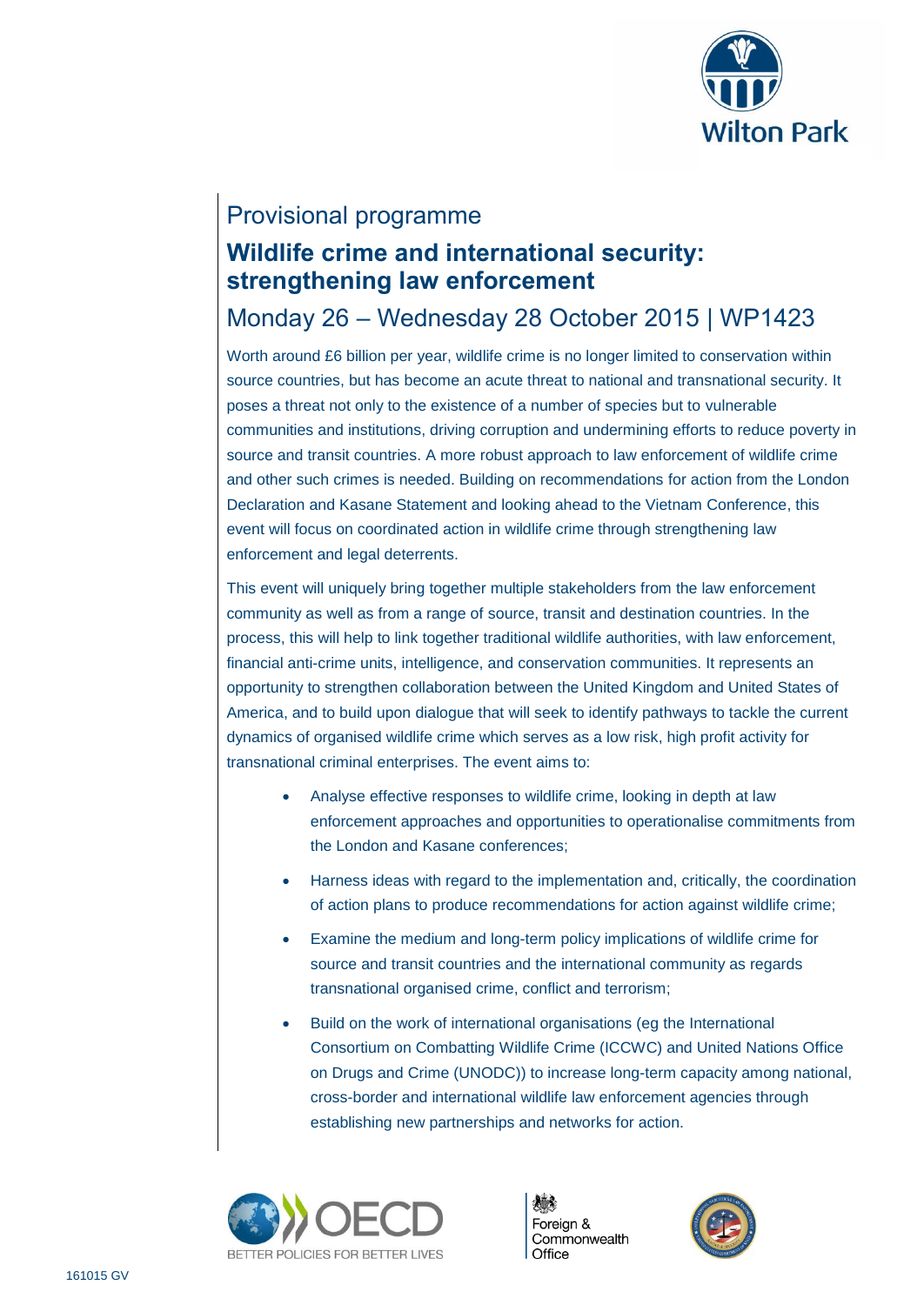

### Provisional programme

# **Wildlife crime and international security: strengthening law enforcement**

## Monday 26 – Wednesday 28 October 2015 | WP1423

Worth around £6 billion per year, wildlife crime is no longer limited to conservation within source countries, but has become an acute threat to national and transnational security. It poses a threat not only to the existence of a number of species but to vulnerable communities and institutions, driving corruption and undermining efforts to reduce poverty in source and transit countries. A more robust approach to law enforcement of wildlife crime and other such crimes is needed. Building on recommendations for action from the London Declaration and Kasane Statement and looking ahead to the Vietnam Conference, this event will focus on coordinated action in wildlife crime through strengthening law enforcement and legal deterrents.

This event will uniquely bring together multiple stakeholders from the law enforcement community as well as from a range of source, transit and destination countries. In the process, this will help to link together traditional wildlife authorities, with law enforcement, financial anti-crime units, intelligence, and conservation communities. It represents an opportunity to strengthen collaboration between the United Kingdom and United States of America, and to build upon dialogue that will seek to identify pathways to tackle the current dynamics of organised wildlife crime which serves as a low risk, high profit activity for transnational criminal enterprises. The event aims to:

- Analyse effective responses to wildlife crime, looking in depth at law enforcement approaches and opportunities to operationalise commitments from the London and Kasane conferences;
- Harness ideas with regard to the implementation and, critically, the coordination of action plans to produce recommendations for action against wildlife crime;
- Examine the medium and long-term policy implications of wildlife crime for source and transit countries and the international community as regards transnational organised crime, conflict and terrorism;
- Build on the work of international organisations (eg the International Consortium on Combatting Wildlife Crime (ICCWC) and United Nations Office on Drugs and Crime (UNODC)) to increase long-term capacity among national, cross-border and international wildlife law enforcement agencies through establishing new partnerships and networks for action.





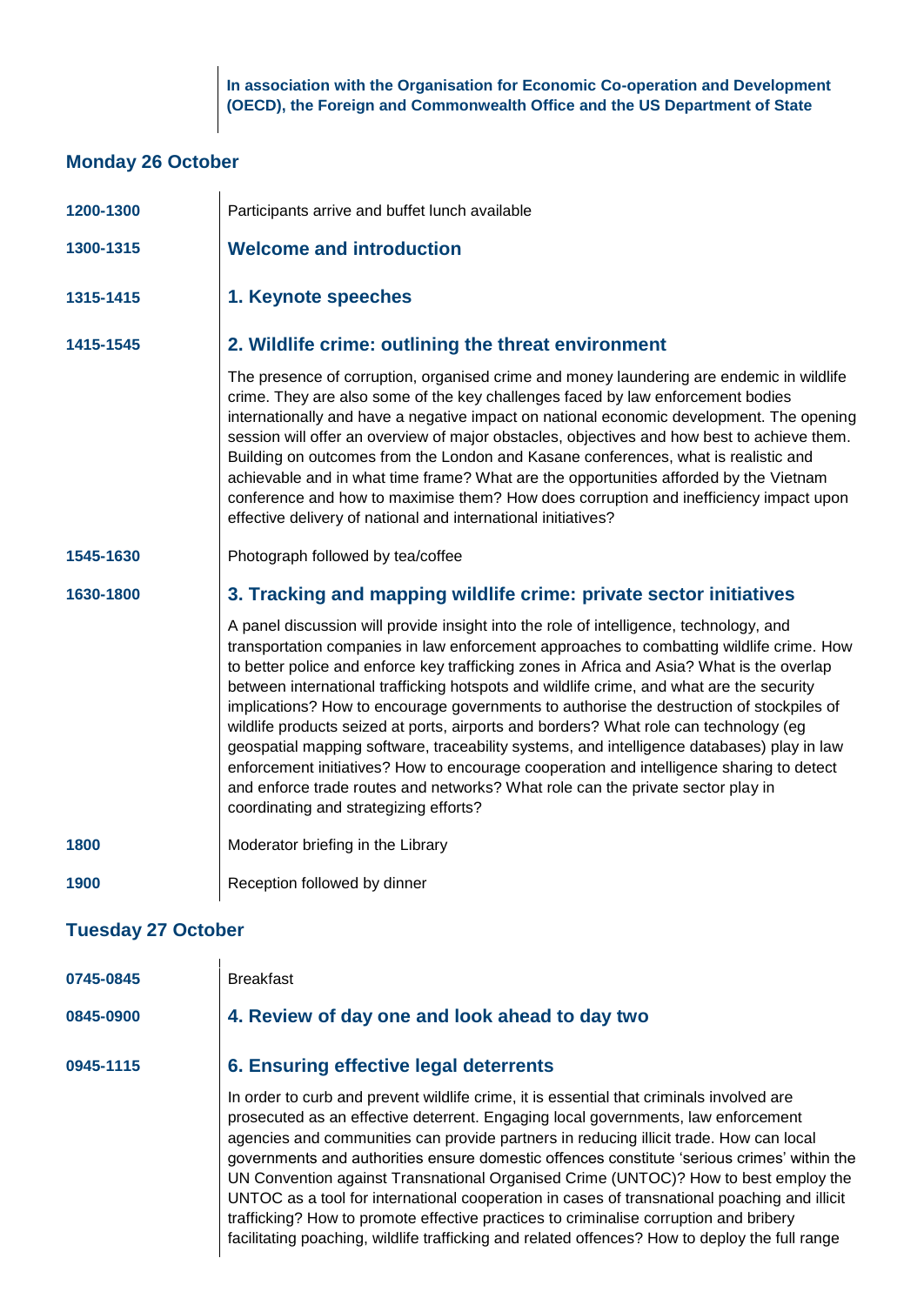**In association with the Organisation for Economic Co-operation and Development (OECD), the Foreign and Commonwealth Office and the US Department of State**

#### **Monday 26 October**

**0745-0845** Breakfast

| 1200-1300                 | Participants arrive and buffet lunch available                                                                                                                                                                                                                                                                                                                                                                                                                                                                                                                                                                                                                                                                                                                                                                                                                                           |  |
|---------------------------|------------------------------------------------------------------------------------------------------------------------------------------------------------------------------------------------------------------------------------------------------------------------------------------------------------------------------------------------------------------------------------------------------------------------------------------------------------------------------------------------------------------------------------------------------------------------------------------------------------------------------------------------------------------------------------------------------------------------------------------------------------------------------------------------------------------------------------------------------------------------------------------|--|
| 1300-1315                 | <b>Welcome and introduction</b>                                                                                                                                                                                                                                                                                                                                                                                                                                                                                                                                                                                                                                                                                                                                                                                                                                                          |  |
| 1315-1415                 | 1. Keynote speeches                                                                                                                                                                                                                                                                                                                                                                                                                                                                                                                                                                                                                                                                                                                                                                                                                                                                      |  |
| 1415-1545                 | 2. Wildlife crime: outlining the threat environment                                                                                                                                                                                                                                                                                                                                                                                                                                                                                                                                                                                                                                                                                                                                                                                                                                      |  |
|                           | The presence of corruption, organised crime and money laundering are endemic in wildlife<br>crime. They are also some of the key challenges faced by law enforcement bodies<br>internationally and have a negative impact on national economic development. The opening<br>session will offer an overview of major obstacles, objectives and how best to achieve them.<br>Building on outcomes from the London and Kasane conferences, what is realistic and<br>achievable and in what time frame? What are the opportunities afforded by the Vietnam<br>conference and how to maximise them? How does corruption and inefficiency impact upon<br>effective delivery of national and international initiatives?                                                                                                                                                                          |  |
| 1545-1630                 | Photograph followed by tea/coffee                                                                                                                                                                                                                                                                                                                                                                                                                                                                                                                                                                                                                                                                                                                                                                                                                                                        |  |
| 1630-1800                 | 3. Tracking and mapping wildlife crime: private sector initiatives                                                                                                                                                                                                                                                                                                                                                                                                                                                                                                                                                                                                                                                                                                                                                                                                                       |  |
|                           | A panel discussion will provide insight into the role of intelligence, technology, and<br>transportation companies in law enforcement approaches to combatting wildlife crime. How<br>to better police and enforce key trafficking zones in Africa and Asia? What is the overlap<br>between international trafficking hotspots and wildlife crime, and what are the security<br>implications? How to encourage governments to authorise the destruction of stockpiles of<br>wildlife products seized at ports, airports and borders? What role can technology (eg<br>geospatial mapping software, traceability systems, and intelligence databases) play in law<br>enforcement initiatives? How to encourage cooperation and intelligence sharing to detect<br>and enforce trade routes and networks? What role can the private sector play in<br>coordinating and strategizing efforts? |  |
| 1800                      | Moderator briefing in the Library                                                                                                                                                                                                                                                                                                                                                                                                                                                                                                                                                                                                                                                                                                                                                                                                                                                        |  |
| 1900                      | Reception followed by dinner                                                                                                                                                                                                                                                                                                                                                                                                                                                                                                                                                                                                                                                                                                                                                                                                                                                             |  |
| <b>Tuesday 27 October</b> |                                                                                                                                                                                                                                                                                                                                                                                                                                                                                                                                                                                                                                                                                                                                                                                                                                                                                          |  |

| 0845-0900 | 4. Review of day one and look ahead to day two                                                                                                                                                                                                                                                                                                                                                                                                                                                                                                                                                                                                                                                                                                           |
|-----------|----------------------------------------------------------------------------------------------------------------------------------------------------------------------------------------------------------------------------------------------------------------------------------------------------------------------------------------------------------------------------------------------------------------------------------------------------------------------------------------------------------------------------------------------------------------------------------------------------------------------------------------------------------------------------------------------------------------------------------------------------------|
| 0945-1115 | 6. Ensuring effective legal deterrents                                                                                                                                                                                                                                                                                                                                                                                                                                                                                                                                                                                                                                                                                                                   |
|           | In order to curb and prevent wildlife crime, it is essential that criminals involved are<br>prosecuted as an effective deterrent. Engaging local governments, law enforcement<br>agencies and communities can provide partners in reducing illicit trade. How can local<br>governments and authorities ensure domestic offences constitute 'serious crimes' within the<br>UN Convention against Transnational Organised Crime (UNTOC)? How to best employ the<br>UNTOC as a tool for international cooperation in cases of transnational poaching and illicit<br>trafficking? How to promote effective practices to criminalise corruption and bribery<br>facilitating poaching, wildlife trafficking and related offences? How to deploy the full range |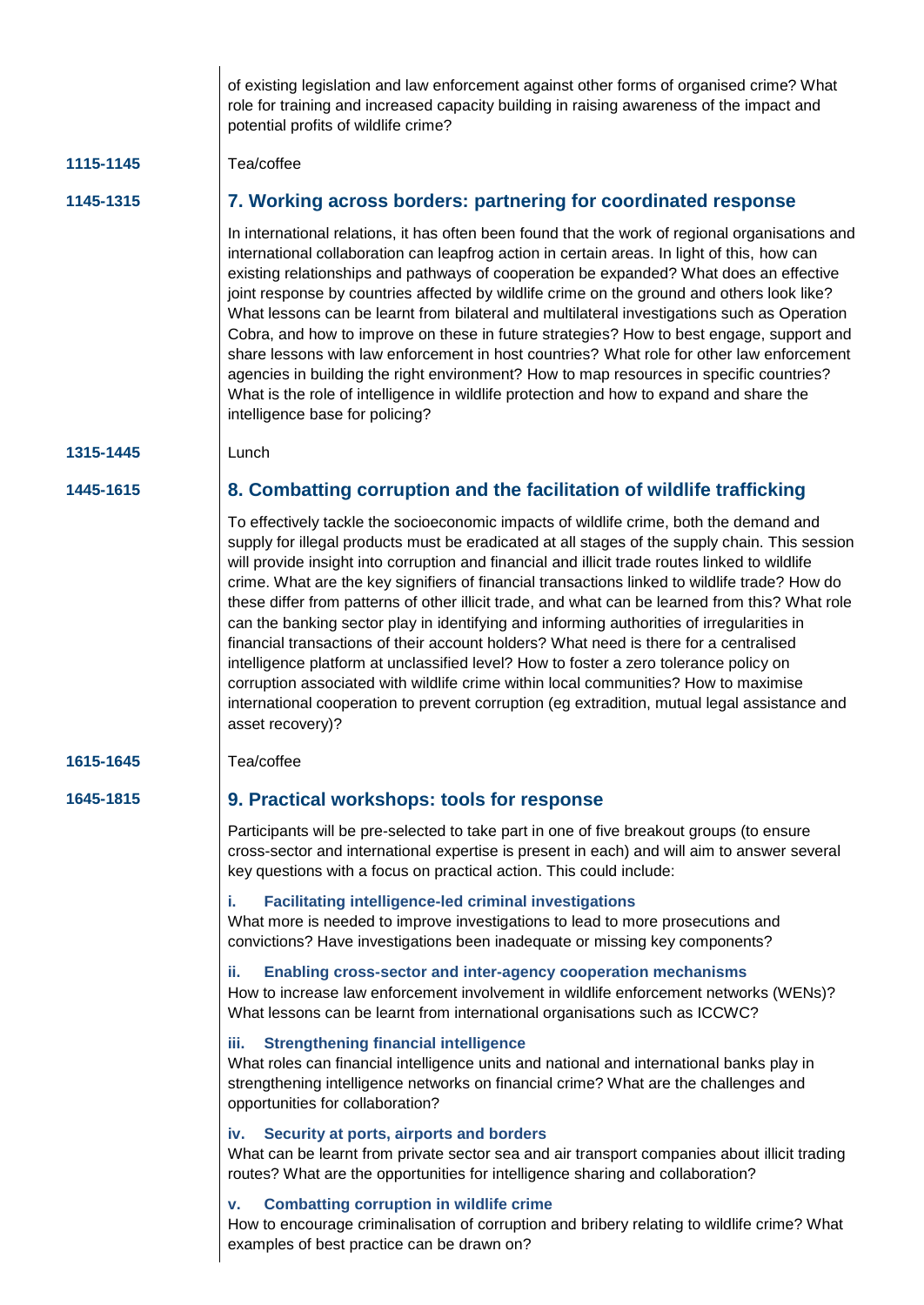|           | of existing legislation and law enforcement against other forms of organised crime? What<br>role for training and increased capacity building in raising awareness of the impact and<br>potential profits of wildlife crime?                                                                                                                                                                                                                                                                                                                                                                                                                                                                                                                                                                                                                                                                                                                                                             |
|-----------|------------------------------------------------------------------------------------------------------------------------------------------------------------------------------------------------------------------------------------------------------------------------------------------------------------------------------------------------------------------------------------------------------------------------------------------------------------------------------------------------------------------------------------------------------------------------------------------------------------------------------------------------------------------------------------------------------------------------------------------------------------------------------------------------------------------------------------------------------------------------------------------------------------------------------------------------------------------------------------------|
| 1115-1145 | Tea/coffee                                                                                                                                                                                                                                                                                                                                                                                                                                                                                                                                                                                                                                                                                                                                                                                                                                                                                                                                                                               |
| 1145-1315 | 7. Working across borders: partnering for coordinated response                                                                                                                                                                                                                                                                                                                                                                                                                                                                                                                                                                                                                                                                                                                                                                                                                                                                                                                           |
|           | In international relations, it has often been found that the work of regional organisations and<br>international collaboration can leapfrog action in certain areas. In light of this, how can<br>existing relationships and pathways of cooperation be expanded? What does an effective<br>joint response by countries affected by wildlife crime on the ground and others look like?<br>What lessons can be learnt from bilateral and multilateral investigations such as Operation<br>Cobra, and how to improve on these in future strategies? How to best engage, support and<br>share lessons with law enforcement in host countries? What role for other law enforcement<br>agencies in building the right environment? How to map resources in specific countries?<br>What is the role of intelligence in wildlife protection and how to expand and share the<br>intelligence base for policing?                                                                                  |
| 1315-1445 | Lunch                                                                                                                                                                                                                                                                                                                                                                                                                                                                                                                                                                                                                                                                                                                                                                                                                                                                                                                                                                                    |
| 1445-1615 | 8. Combatting corruption and the facilitation of wildlife trafficking                                                                                                                                                                                                                                                                                                                                                                                                                                                                                                                                                                                                                                                                                                                                                                                                                                                                                                                    |
|           | To effectively tackle the socioeconomic impacts of wildlife crime, both the demand and<br>supply for illegal products must be eradicated at all stages of the supply chain. This session<br>will provide insight into corruption and financial and illicit trade routes linked to wildlife<br>crime. What are the key signifiers of financial transactions linked to wildlife trade? How do<br>these differ from patterns of other illicit trade, and what can be learned from this? What role<br>can the banking sector play in identifying and informing authorities of irregularities in<br>financial transactions of their account holders? What need is there for a centralised<br>intelligence platform at unclassified level? How to foster a zero tolerance policy on<br>corruption associated with wildlife crime within local communities? How to maximise<br>international cooperation to prevent corruption (eg extradition, mutual legal assistance and<br>asset recovery)? |
| 1615-1645 | Tea/coffee                                                                                                                                                                                                                                                                                                                                                                                                                                                                                                                                                                                                                                                                                                                                                                                                                                                                                                                                                                               |
| 1645-1815 | 9. Practical workshops: tools for response                                                                                                                                                                                                                                                                                                                                                                                                                                                                                                                                                                                                                                                                                                                                                                                                                                                                                                                                               |
|           | Participants will be pre-selected to take part in one of five breakout groups (to ensure<br>cross-sector and international expertise is present in each) and will aim to answer several<br>key questions with a focus on practical action. This could include:                                                                                                                                                                                                                                                                                                                                                                                                                                                                                                                                                                                                                                                                                                                           |
|           | <b>Facilitating intelligence-led criminal investigations</b><br>i.<br>What more is needed to improve investigations to lead to more prosecutions and<br>convictions? Have investigations been inadequate or missing key components?                                                                                                                                                                                                                                                                                                                                                                                                                                                                                                                                                                                                                                                                                                                                                      |
|           | Enabling cross-sector and inter-agency cooperation mechanisms<br>ii.<br>How to increase law enforcement involvement in wildlife enforcement networks (WENs)?<br>What lessons can be learnt from international organisations such as ICCWC?                                                                                                                                                                                                                                                                                                                                                                                                                                                                                                                                                                                                                                                                                                                                               |
|           | <b>Strengthening financial intelligence</b><br>iii.<br>What roles can financial intelligence units and national and international banks play in<br>strengthening intelligence networks on financial crime? What are the challenges and<br>opportunities for collaboration?                                                                                                                                                                                                                                                                                                                                                                                                                                                                                                                                                                                                                                                                                                               |
|           | Security at ports, airports and borders<br>iv.<br>What can be learnt from private sector sea and air transport companies about illicit trading<br>routes? What are the opportunities for intelligence sharing and collaboration?                                                                                                                                                                                                                                                                                                                                                                                                                                                                                                                                                                                                                                                                                                                                                         |
|           | <b>Combatting corruption in wildlife crime</b><br>v.<br>How to encourage criminalisation of corruption and bribery relating to wildlife crime? What<br>examples of best practice can be drawn on?                                                                                                                                                                                                                                                                                                                                                                                                                                                                                                                                                                                                                                                                                                                                                                                        |